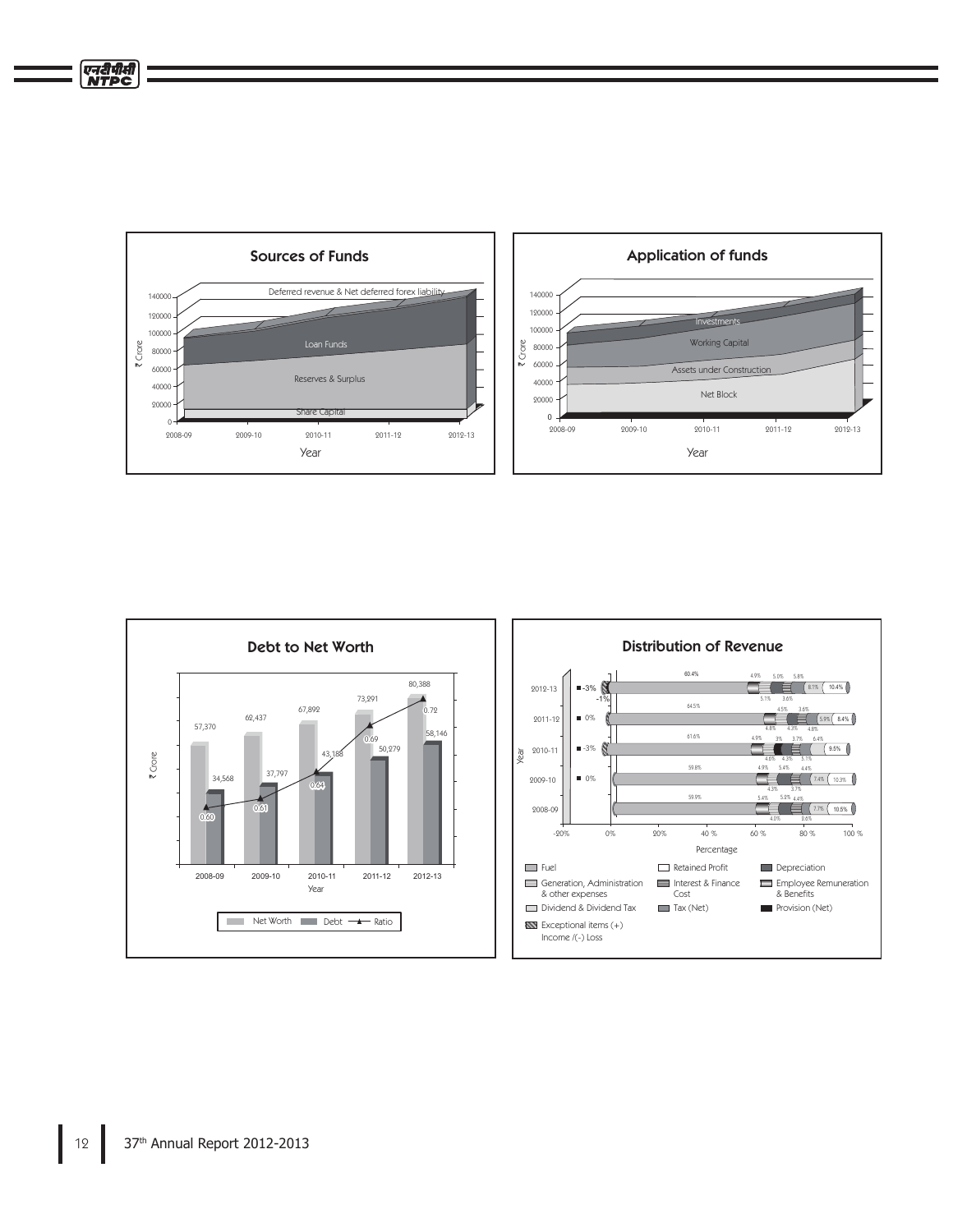



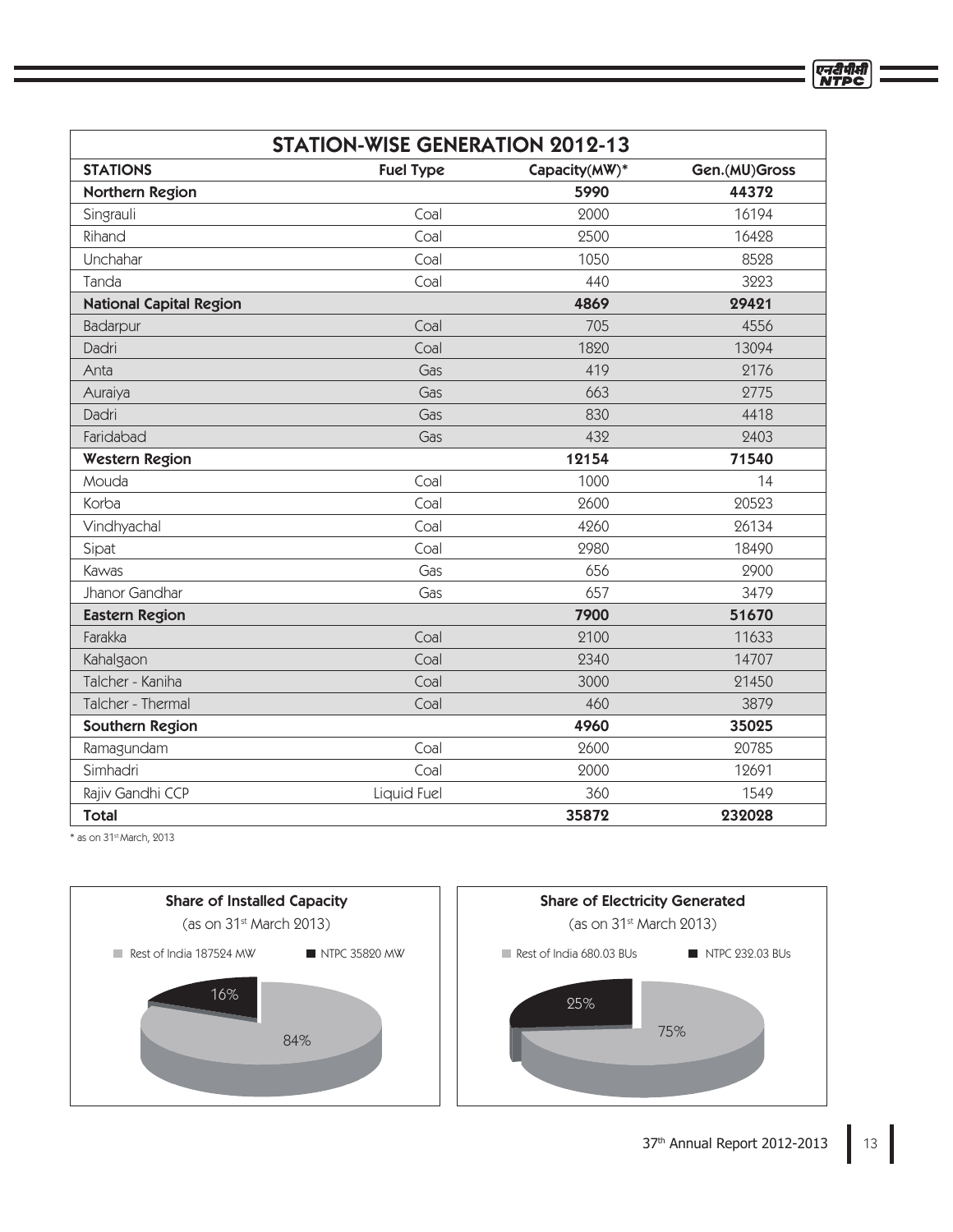| <b>STATION-WISE GENERATION 2012-13</b> |                  |               |               |
|----------------------------------------|------------------|---------------|---------------|
| <b>STATIONS</b>                        | <b>Fuel Type</b> | Capacity(MW)* | Gen.(MU)Gross |
| Northern Region                        |                  | 5990          | 44372         |
| Singrauli                              | Coal             | 2000          | 16194         |
| Rihand                                 | Coal             | 2500          | 16428         |
| Unchahar                               | Coal             | 1050          | 8528          |
| Tanda                                  | Coal             | 440           | 3223          |
| <b>National Capital Region</b>         |                  | 4869          | 29421         |
| Badarpur                               | Coal             | 705           | 4556          |
| Dadri                                  | Coal             | 1820          | 13094         |
| Anta                                   | Gas              | 419           | 2176          |
| Auraiya                                | Gas              | 663           | 2775          |
| Dadri                                  | Gas              | 830           | 4418          |
| Faridabad                              | Gas              | 432           | 2403          |
| <b>Western Region</b>                  |                  | 12154         | 71540         |
| Mouda                                  | Coal             | 1000          | 14            |
| Korba                                  | Coal             | 2600          | 20523         |
| Vindhyachal                            | Coal             | 4260          | 26134         |
| Sipat                                  | Coal             | 2980          | 18490         |
| Kawas                                  | Gas              | 656           | 2900          |
| Jhanor Gandhar                         | Gas              | 657           | 3479          |
| <b>Eastern Region</b>                  |                  | 7900          | 51670         |
| Farakka                                | Coal             | 2100          | 11633         |
| Kahalgaon                              | Coal             | 2340          | 14707         |
| Talcher - Kaniha                       | Coal             | 3000          | 21450         |
| Talcher - Thermal                      | Coal             | 460           | 3879          |
| <b>Southern Region</b>                 |                  | 4960          | 35025         |
| Ramagundam                             | Coal             | 2600          | 20785         |
| Simhadri                               | Coal             | 2000          | 12691         |
| Rajiv Gandhi CCP                       | Liquid Fuel      | 360           | 1549          |
| <b>Total</b>                           |                  | 35872         | 232028        |

 $*$  as on 31st March, 2013



एनदीपीसी<br>NTPC